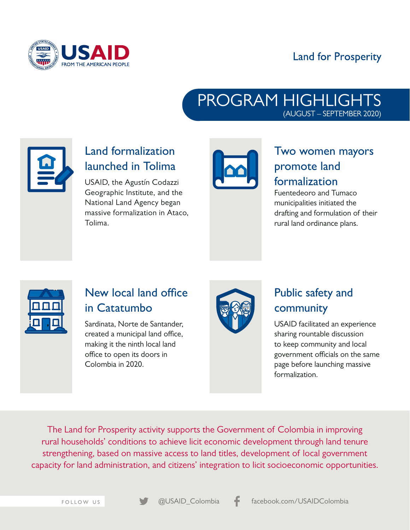

#### **Land for Prosperity**

#### PROGRAM HIGHLIGHTS (AUGUST – SEPTEMBER 2020)



# Land formalization launched in Tolima

USAID, the Agustín Codazzi Geographic Institute, and the National Land Agency began massive formalization in Ataco, Tolima.



## Two women mayors promote land formalization

Fuentedeoro and Tumaco municipalities initiated the drafting and formulation of their rural land ordinance plans.



#### New local land office in Catatumbo

Sardinata, Norte de Santander, created a municipal land office, making it the ninth local land office to open its doors in Colombia in 2020.



## Public safety and community

USAID facilitated an experience sharing rountable discussion to keep community and local government officials on the same page before launching massive formalization.

The Land for Prosperity activity supports the Government of Colombia in improving rural households' conditions to achieve licit economic development through land tenure strengthening, based on massive access to land titles, development of local government capacity for land administration, and citizens' integration to licit socioeconomic opportunities.